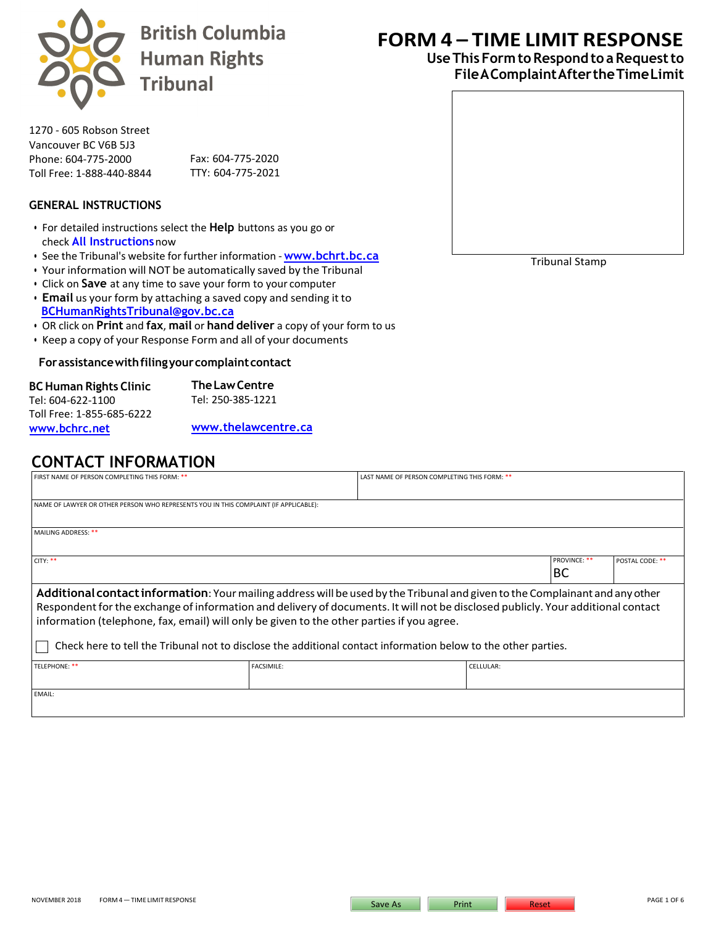

**British Columbia Human Rights Tribunal** 

1270 - 605 Robson Street Vancouver BC V6B 5J3 Phone: 604-775-2000 Toll Free: 1-888-440-8844

Fax: 604-775-2020 TTY: 604-775-2021

### **GENERAL INSTRUCTIONS**

- For detailed instructions select the **Help** buttons [as you go or](http://www.bchrt.bc.ca/)  check **All Instructions**now
- See the Tribunal's website for further information **[w](http://www.bchrt.bc.ca/)ww.bchrt.bc.ca**
- Your information will NOT be automatically saved by the Tribunal
- Click on **Save** [at any time to save your fo](mailto:BCHumanRightsTribunal@gov.bc.ca)rm to your computer
- **Email** us your form by attaching a saved copy and sending it to **BCHumanRightsTribunal@gov.bc.ca**
- OR click on **Print** and **fax**, **mail** or **hand deliver** a copy of your form to us
- Keep a copy of your Response Form and all of your documents

#### **Forassistancewithfilingyourcomplaintcontact**

| <b>The Law Centre</b> |
|-----------------------|
| Tel: 250-385-1221     |
|                       |
| www.thelawcentre.ca   |
|                       |

**CONTACT INFORMATION**

# **FORM 4 – TIME LIMIT RESPONSE**

## **Use This Form to Respond to a Request to File A Complaint AftertheTimeLimit**



Tribunal Stamp

| FIRST NAME OF PERSON COMPLETING THIS FORM: **<br>LAST NAME OF PERSON COMPLETING THIS FORM: **                                    |                   |  |           |                     |                 |  |
|----------------------------------------------------------------------------------------------------------------------------------|-------------------|--|-----------|---------------------|-----------------|--|
|                                                                                                                                  |                   |  |           |                     |                 |  |
|                                                                                                                                  |                   |  |           |                     |                 |  |
| NAME OF LAWYER OR OTHER PERSON WHO REPRESENTS YOU IN THIS COMPLAINT (IF APPLICABLE):                                             |                   |  |           |                     |                 |  |
|                                                                                                                                  |                   |  |           |                     |                 |  |
|                                                                                                                                  |                   |  |           |                     |                 |  |
| MAILING ADDRESS: **                                                                                                              |                   |  |           |                     |                 |  |
|                                                                                                                                  |                   |  |           |                     |                 |  |
|                                                                                                                                  |                   |  |           |                     |                 |  |
| CITY: **                                                                                                                         |                   |  |           | <b>PROVINCE: **</b> | POSTAL CODE: ** |  |
|                                                                                                                                  |                   |  |           |                     |                 |  |
|                                                                                                                                  |                   |  |           | BС                  |                 |  |
| Additional contact information: Your mailing address will be used by the Tribunal and given to the Complainant and any other     |                   |  |           |                     |                 |  |
|                                                                                                                                  |                   |  |           |                     |                 |  |
| Respondent for the exchange of information and delivery of documents. It will not be disclosed publicly. Your additional contact |                   |  |           |                     |                 |  |
|                                                                                                                                  |                   |  |           |                     |                 |  |
| information (telephone, fax, email) will only be given to the other parties if you agree.                                        |                   |  |           |                     |                 |  |
|                                                                                                                                  |                   |  |           |                     |                 |  |
| Check here to tell the Tribunal not to disclose the additional contact information below to the other parties.                   |                   |  |           |                     |                 |  |
|                                                                                                                                  |                   |  |           |                     |                 |  |
| TELEPHONE: **                                                                                                                    | <b>FACSIMILE:</b> |  | CELLULAR: |                     |                 |  |
|                                                                                                                                  |                   |  |           |                     |                 |  |
|                                                                                                                                  |                   |  |           |                     |                 |  |
| $- - - - - - - - -$                                                                                                              |                   |  |           |                     |                 |  |

EMAIL: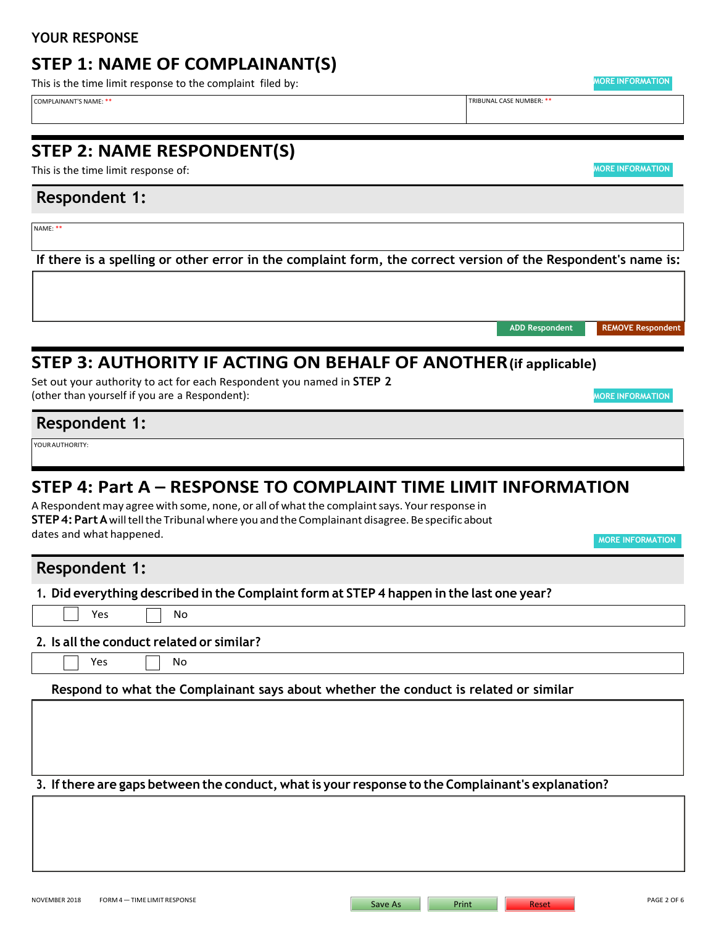## **YOUR RESPONSE**

## **STEP 1: NAME OF COMPLAINANT(S)**

This is the time limit response to the complaint filed by: **MORE INFORMATION** 

COMPLAINANT'S NAME: \*\* TRIBUNAL CASE NUMBER: \*\*

## **STEP 2: NAME RESPONDENT(S)**

This is the time limit response of: **MORE INFORMATION** 

## **Respondent 1:**

NAME: \*\*

**If there is a spelling or other error in the complaint form, the correct version of the Respondent's name is:**

Set out your authority to act for each Respondent you named in **STEP 2** (other than yourself if you are a Respondent): **MORE INFORMATION** 

## **Respondent 1:**

YOURAUTHORITY:

# **STEP 4: Part A – RESPONSE TO COMPLAINT TIME LIMIT INFORMATION**

**STEP 3: AUTHORITY IF ACTING ON BEHALF OF ANOTHER(if applicable)**

A Respondent may agree with some, none, or all of what the complaint says. Your response in **STEP4: Part A** will tell the Tribunalwhere you and theComplainant disagree. Be specific about dates and what happened.

**MORE INFORMATION**

**ADD Respondent REMOVE Respondent**

NOVEMBER 2018 FORM4-TIME LIMIT RESPONSE And The Save As Page 2 OF 6 Save As Print Reset Reset Reset Reset Reset Reset Reset Reset Reset Reset Reset Reset Reset Reset Reset Reset Reset Reset Reset Reset Reset Reset Reset Re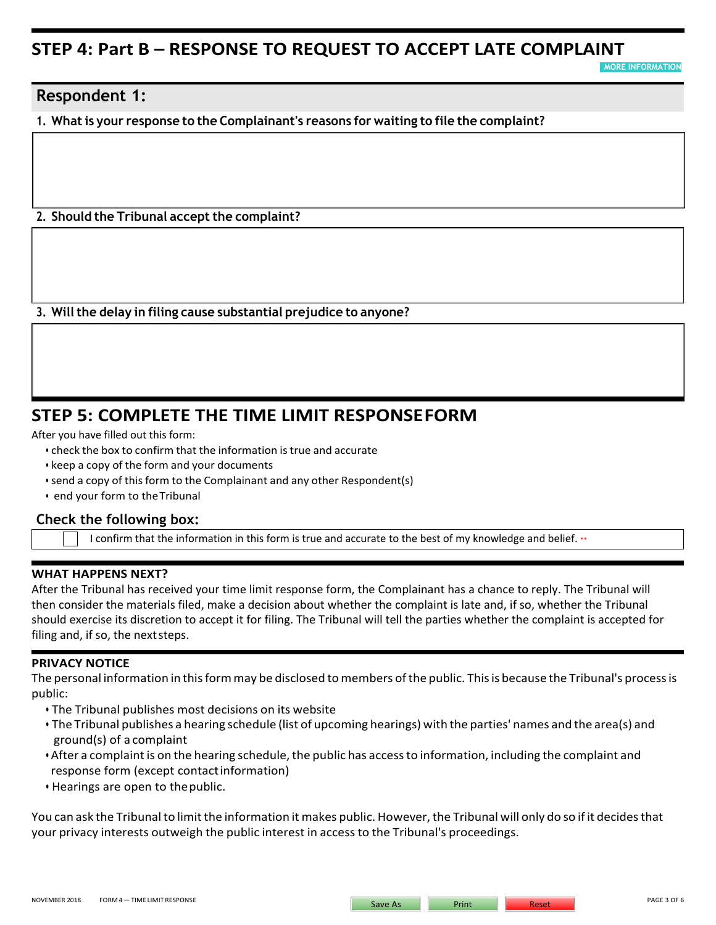## **STEP 4: Part B – RESPONSE TO REQUEST TO ACCEPT LATE COMPLAINT**

**MORE INFORMAT** 

## **Respondent 1:**

**1. Whatis your response to the Complainant's reasons for waiting to file the complaint?**

## **2. Should the Tribunal accept the complaint?**

**3. Willthe delay in filing cause substantial prejudice to anyone?**

## **STEP 5: COMPLETE THE TIME LIMIT RESPONSEFORM**

After you have filled out this form:

- check the box to confirm that the information is true and accurate
- keep a copy of the form and your documents
- send a copy of this form to the Complainant and any other Respondent(s)
- end your form to theTribunal

## **Check the following box:**

I confirm that the information in this form is true and accurate to the best of my knowledge and belief. \*\*

#### **WHAT HAPPENS NEXT?**

After the Tribunal has received your time limit response form, the Complainant has a chance to reply. The Tribunal will then consider the materials filed, make a decision about whether the complaint is late and, if so, whether the Tribunal should exercise its discretion to accept it for filing. The Tribunal will tell the parties whether the complaint is accepted for filing and, if so, the next steps.

#### **PRIVACY NOTICE**

The personal information in this form may be disclosed to members of the public. This is because the Tribunal's process is public:

- The Tribunal publishes most decisions on its website
- The Tribunal publishes a hearing schedule (list of upcoming hearings) with the parties' names and the area(s) and ground(s) of a complaint
- After a complaint is on the hearing schedule, the public has access to information, including the complaint and response form (except contactinformation)
- Hearings are open to thepublic.

You can ask the Tribunal to limit the information it makes public. However, the Tribunal will only do so if it decides that your privacy interests outweigh the public interest in access to the Tribunal's proceedings.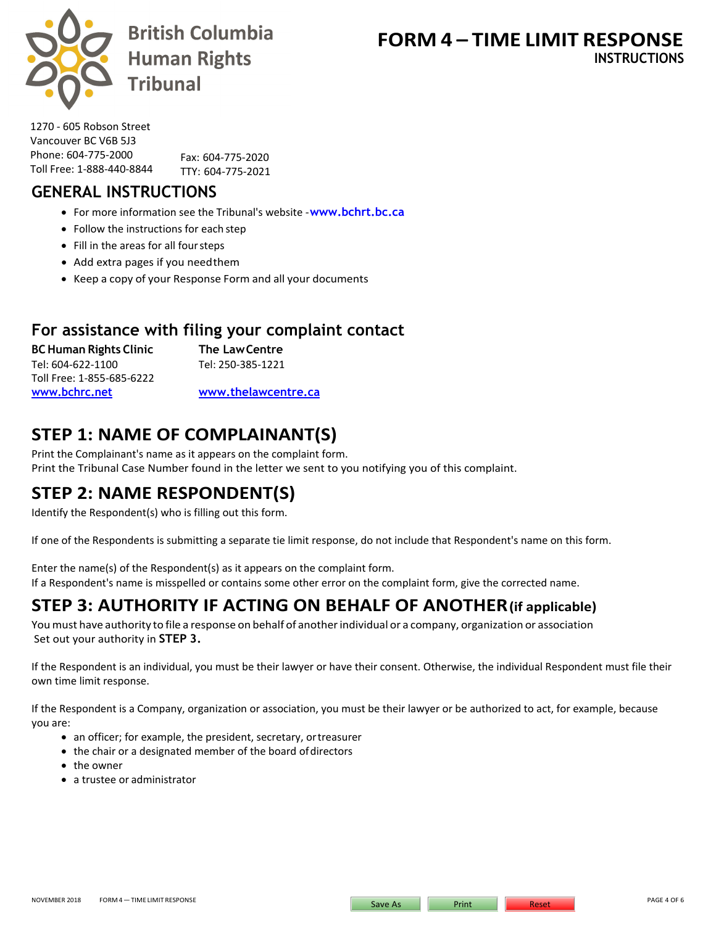

**British Columbia Human Rights Tribunal** 

1270 - 605 Robson Street Vancouver BC V6B 5J3 Phone: 604-775-2000 Toll Free: 1-888-440-8844

Fax: 604-775-2020 TTY: 604-775-2021

# **GENERAL INSTRUCTIONS**

- For more information see the Tribunal's website **[www.bchrt.bc.ca](http://www.bchrt.bc.ca/)**
- Follow the instructions for each step
- Fill in the areas for all foursteps
- Add extra pages if you needthem
- Keep a copy of your Response Form and all your documents

## **For assistance with filing your complaint contact**

**BCHuman Rights Clinic The LawCentre** Tel: 604-622-1100 Tel: 250-385-1221 Toll Free: 1-855-685-6222 **[www.bchrc.net](http://www.bchrc.net/) [www.thelawcentre.ca](http://www.thelawcentre.ca/)**

# **STEP 1: NAME OF COMPLAINANT(S)**

Print the Complainant's name as it appears on the complaint form. Print the Tribunal Case Number found in the letter we sent to you notifying you of this complaint.

# **STEP 2: NAME RESPONDENT(S)**

Identify the Respondent(s) who is filling out this form.

If one of the Respondents is submitting a separate tie limit response, do not include that Respondent's name on this form.

Enter the name(s) of the Respondent(s) as it appears on the complaint form. If a Respondent's name is misspelled or contains some other error on the complaint form, give the corrected name.

# **STEP 3: AUTHORITY IF ACTING ON BEHALF OF ANOTHER(if applicable)**

Youmust have authority to file a response on behalf of anotherindividual or a company, organization or association Set out your authority in **STEP 3.**

If the Respondent is an individual, you must be their lawyer or have their consent. Otherwise, the individual Respondent must file their own time limit response.

If the Respondent is a Company, organization or association, you must be their lawyer or be authorized to act, for example, because you are:

- an officer; for example, the president, secretary, ortreasurer
- the chair or a designated member of the board of directors
- the owner
- a trustee or administrator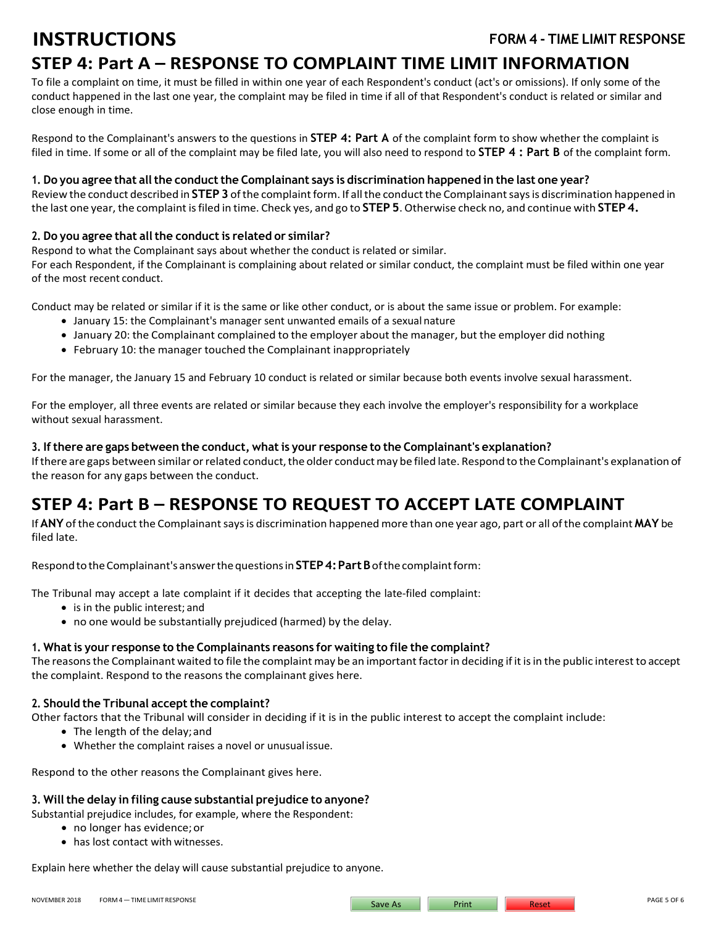# **STEP 4: Part A – RESPONSE TO COMPLAINT TIME LIMIT INFORMATION**

To file a complaint on time, it must be filled in within one year of each Respondent's conduct (act's or omissions). If only some of the conduct happened in the last one year, the complaint may be filed in time if all of that Respondent's conduct is related or similar and close enough in time.

Respond to the Complainant's answers to the questions in **STEP 4: Part A** of the complaint form to show whether the complaint is filed in time. If some or all of the complaint may be filed late, you will also need to respond to **STEP 4 : Part B** of the complaint form.

**1. Do you agree that allthe conductthe Complainant says is discrimination happened in the last one year?**  Review the conduct described in **STEP 3** of the complaint form. If all the conduct the Complainant says is discrimination happened in the last one year, the complaint is filed in time. Check yes, and go to **STEP 5**. Otherwise check no, and continue with **STEP 4.**

### **2. Do you agree that allthe conductis related or similar?**

Respond to what the Complainant says about whether the conduct is related or similar. For each Respondent, if the Complainant is complaining about related or similar conduct, the complaint must be filed within one year of the most recent conduct.

Conduct may be related or similar if it is the same or like other conduct, or is about the same issue or problem. For example:

- January 15: the Complainant's manager sent unwanted emails of a sexual nature
- January 20: the Complainant complained to the employer about the manager, but the employer did nothing
- February 10: the manager touched the Complainant inappropriately

For the manager, the January 15 and February 10 conduct is related or similar because both events involve sexual harassment.

For the employer, all three events are related or similar because they each involve the employer's responsibility for a workplace without sexual harassment.

#### **3. If there are gaps between the conduct, what is your response to the Complainant's explanation?**

If there are gaps between similar or related conduct, the older conduct may be filed late. Respond to the Complainant's explanation of the reason for any gaps between the conduct.

# **STEP 4: Part B – RESPONSE TO REQUEST TO ACCEPT LATE COMPLAINT**

If **ANY** ofthe conduct the Complainantsays is discrimination happened more than one year ago, part or all ofthe complaint **MAY** be filed late.

RespondtotheComplainant'sanswerthequestions in **STEP4: Part B** ofthecomplaintform:

The Tribunal may accept a late complaint if it decides that accepting the late-filed complaint:

- is in the public interest; and
- no one would be substantially prejudiced (harmed) by the delay.

#### **1. What is your response to the Complainants reasons for waiting to file the complaint?**

The reasonsthe Complainant waited to file the complaint may be an important factor in deciding if it is in the public interest to accept the complaint. Respond to the reasons the complainant gives here.

#### **2.** Should the Tribunal accept the complaint?

Other factors that the Tribunal will consider in deciding if it is in the public interest to accept the complaint include:

- The length of the delay;and
- Whether the complaint raises a novel or unusual issue.

Respond to the other reasons the Complainant gives here.

## **3. Willthe delay in filing cause substantial prejudice to anyone?**

Substantial prejudice includes, for example, where the Respondent:

- no longer has evidence;or
- has lost contact with witnesses.

Explain here whether the delay will cause substantial prejudice to anyone.